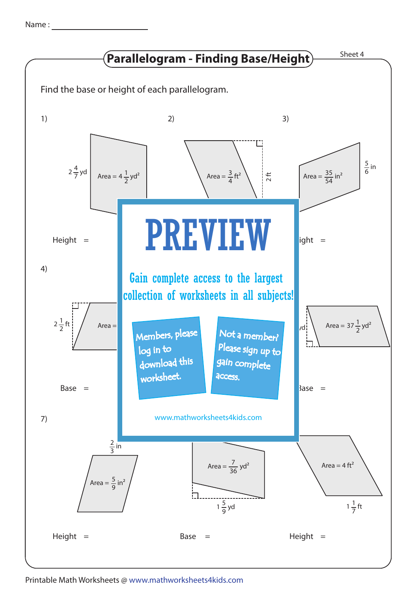